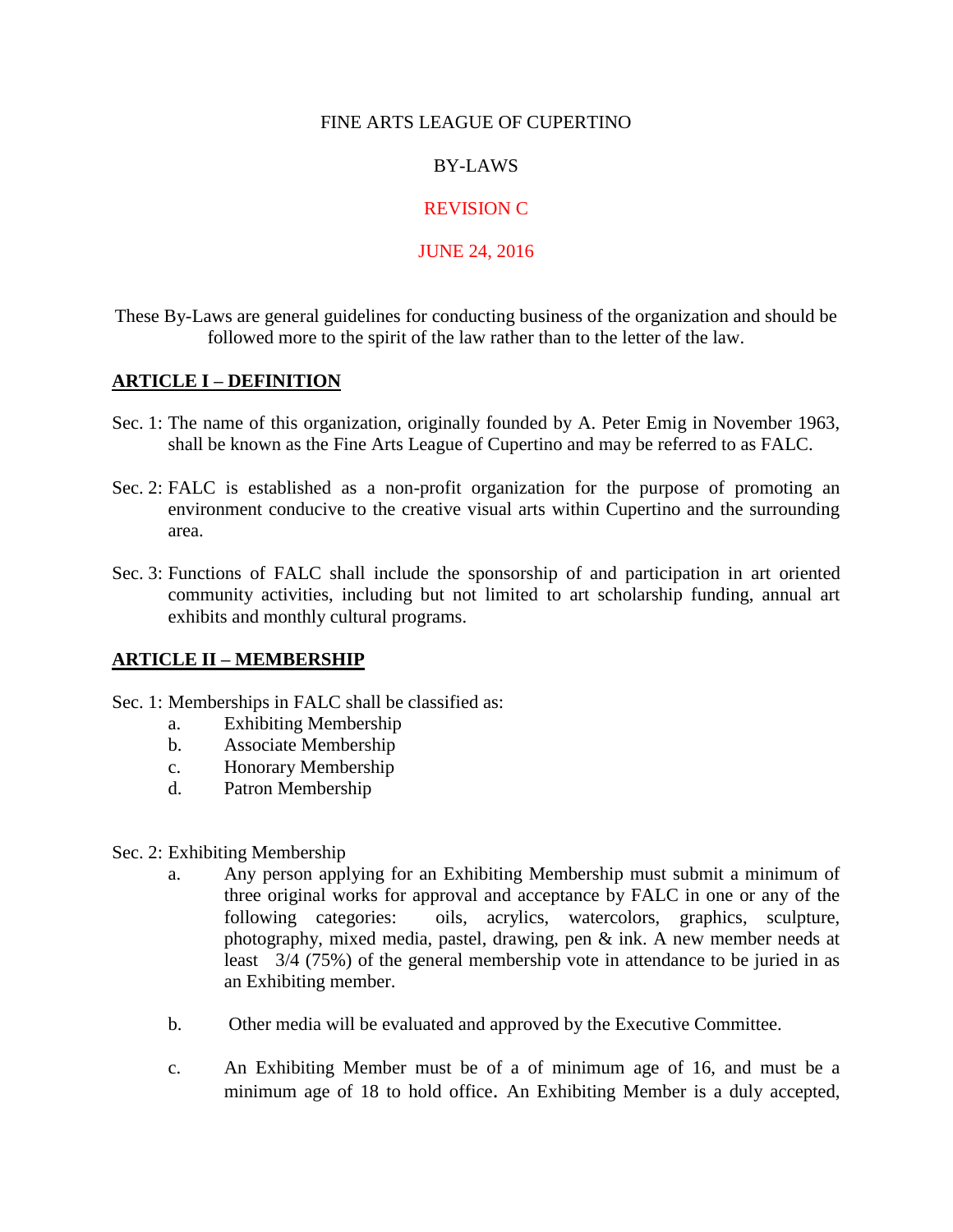#### FINE ARTS LEAGUE OF CUPERTINO

### BY-LAWS

# REVISION C

## JUNE 24, 2016

These By-Laws are general guidelines for conducting business of the organization and should be followed more to the spirit of the law rather than to the letter of the law.

### **ARTICLE I – DEFINITION**

- Sec. 1: The name of this organization, originally founded by A. Peter Emig in November 1963, shall be known as the Fine Arts League of Cupertino and may be referred to as FALC.
- Sec. 2: FALC is established as a non-profit organization for the purpose of promoting an environment conducive to the creative visual arts within Cupertino and the surrounding area.
- Sec. 3: Functions of FALC shall include the sponsorship of and participation in art oriented community activities, including but not limited to art scholarship funding, annual art exhibits and monthly cultural programs.

### **ARTICLE II – MEMBERSHIP**

- Sec. 1: Memberships in FALC shall be classified as:
	- a. Exhibiting Membership
	- b. Associate Membership
	- c. Honorary Membership
	- d. Patron Membership
- Sec. 2: Exhibiting Membership
	- a. Any person applying for an Exhibiting Membership must submit a minimum of three original works for approval and acceptance by FALC in one or any of the following categories: oils, acrylics, watercolors, graphics, sculpture, oils, acrylics, watercolors, graphics, sculpture, photography, mixed media, pastel, drawing, pen & ink. A new member needs at least 3/4 (75%) of the general membership vote in attendance to be juried in as an Exhibiting member.
	- b. Other media will be evaluated and approved by the Executive Committee.
	- c. An Exhibiting Member must be of a of minimum age of 16, and must be a minimum age of 18 to hold office. An Exhibiting Member is a duly accepted,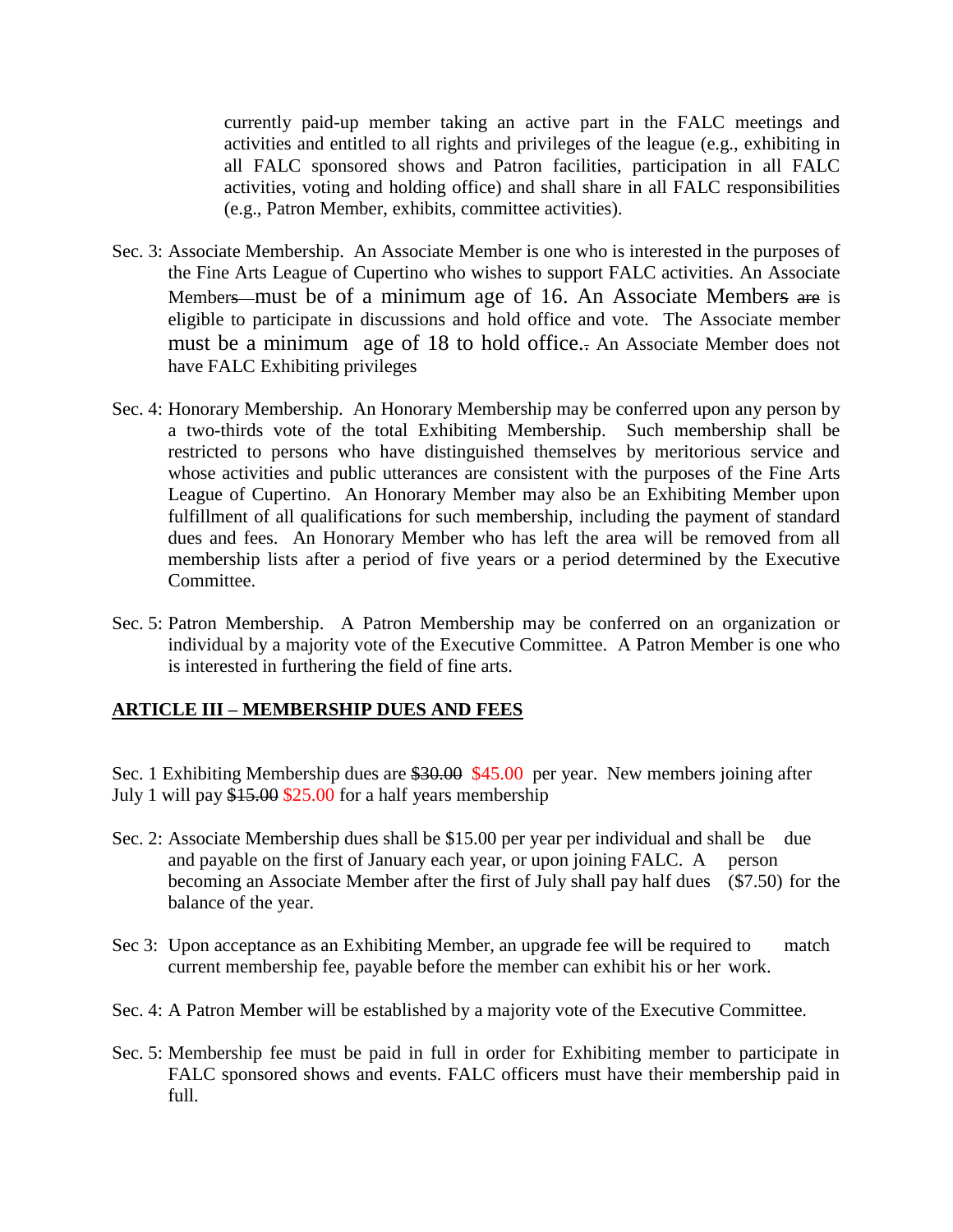currently paid-up member taking an active part in the FALC meetings and activities and entitled to all rights and privileges of the league (e.g., exhibiting in all FALC sponsored shows and Patron facilities, participation in all FALC activities, voting and holding office) and shall share in all FALC responsibilities (e.g., Patron Member, exhibits, committee activities).

- Sec. 3: Associate Membership. An Associate Member is one who is interested in the purposes of the Fine Arts League of Cupertino who wishes to support FALC activities. An Associate Members—must be of a minimum age of 16. An Associate Members are is eligible to participate in discussions and hold office and vote. The Associate member must be a minimum age of 18 to hold office.. An Associate Member does not have FALC Exhibiting privileges
- Sec. 4: Honorary Membership. An Honorary Membership may be conferred upon any person by a two-thirds vote of the total Exhibiting Membership. Such membership shall be restricted to persons who have distinguished themselves by meritorious service and whose activities and public utterances are consistent with the purposes of the Fine Arts League of Cupertino. An Honorary Member may also be an Exhibiting Member upon fulfillment of all qualifications for such membership, including the payment of standard dues and fees. An Honorary Member who has left the area will be removed from all membership lists after a period of five years or a period determined by the Executive Committee.
- Sec. 5: Patron Membership. A Patron Membership may be conferred on an organization or individual by a majority vote of the Executive Committee. A Patron Member is one who is interested in furthering the field of fine arts.

### **ARTICLE III – MEMBERSHIP DUES AND FEES**

Sec. 1 Exhibiting Membership dues are \$30.00 \$45.00 per year. New members joining after July 1 will pay \$15.00 \$25.00 for a half years membership

- Sec. 2: Associate Membership dues shall be \$15.00 per year per individual and shall be due and payable on the first of January each year, or upon joining FALC. A person becoming an Associate Member after the first of July shall pay half dues (\$7.50) for the balance of the year.
- Sec 3: Upon acceptance as an Exhibiting Member, an upgrade fee will be required to match current membership fee, payable before the member can exhibit his or her work.
- Sec. 4: A Patron Member will be established by a majority vote of the Executive Committee.
- Sec. 5: Membership fee must be paid in full in order for Exhibiting member to participate in FALC sponsored shows and events. FALC officers must have their membership paid in full.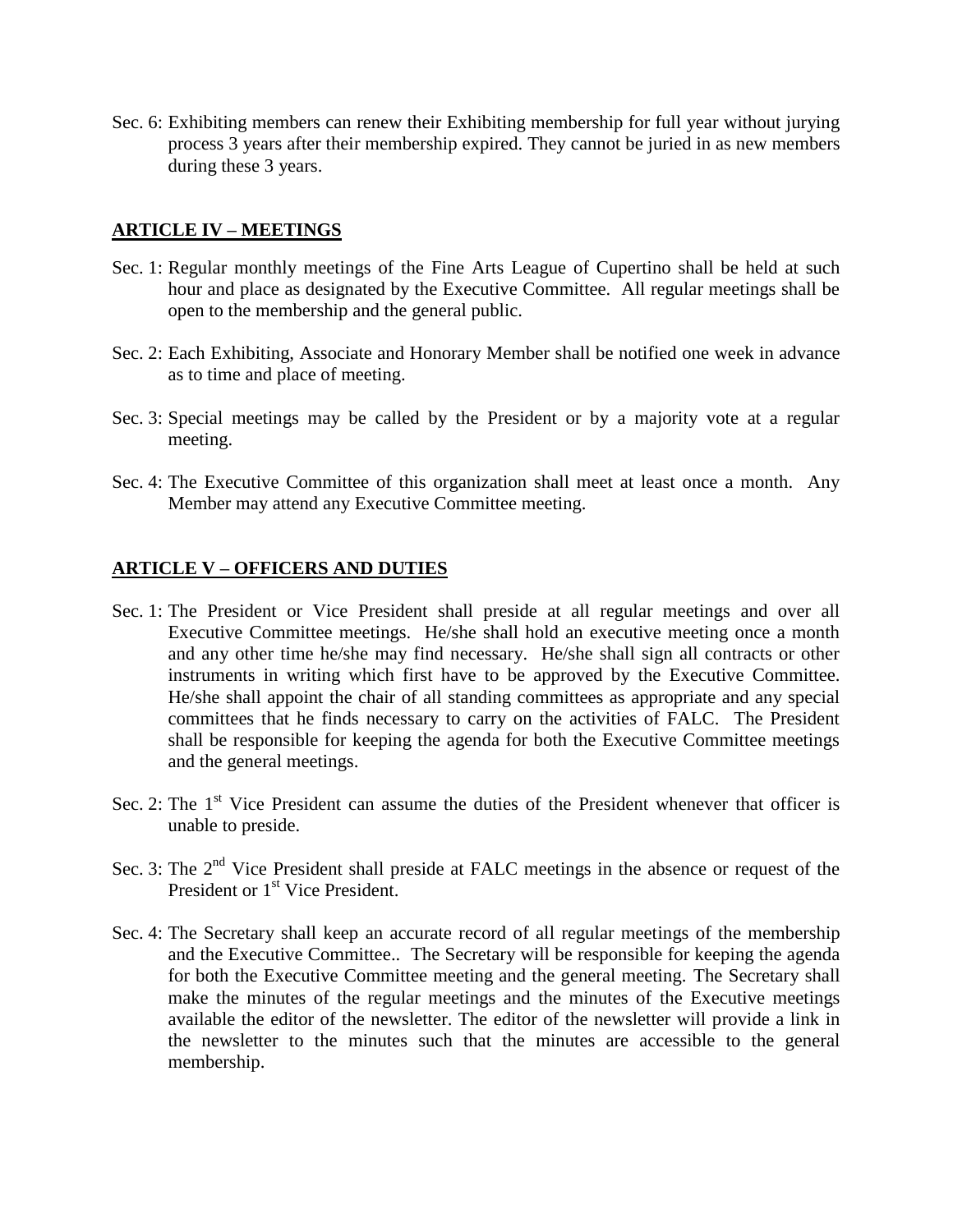Sec. 6: Exhibiting members can renew their Exhibiting membership for full year without jurying process 3 years after their membership expired. They cannot be juried in as new members during these 3 years.

### **ARTICLE IV – MEETINGS**

- Sec. 1: Regular monthly meetings of the Fine Arts League of Cupertino shall be held at such hour and place as designated by the Executive Committee. All regular meetings shall be open to the membership and the general public.
- Sec. 2: Each Exhibiting, Associate and Honorary Member shall be notified one week in advance as to time and place of meeting.
- Sec. 3: Special meetings may be called by the President or by a majority vote at a regular meeting.
- Sec. 4: The Executive Committee of this organization shall meet at least once a month. Any Member may attend any Executive Committee meeting.

### **ARTICLE V – OFFICERS AND DUTIES**

- Sec. 1: The President or Vice President shall preside at all regular meetings and over all Executive Committee meetings. He/she shall hold an executive meeting once a month and any other time he/she may find necessary. He/she shall sign all contracts or other instruments in writing which first have to be approved by the Executive Committee. He/she shall appoint the chair of all standing committees as appropriate and any special committees that he finds necessary to carry on the activities of FALC. The President shall be responsible for keeping the agenda for both the Executive Committee meetings and the general meetings.
- Sec. 2: The 1<sup>st</sup> Vice President can assume the duties of the President whenever that officer is unable to preside.
- Sec. 3: The 2<sup>nd</sup> Vice President shall preside at FALC meetings in the absence or request of the President or 1<sup>st</sup> Vice President.
- Sec. 4: The Secretary shall keep an accurate record of all regular meetings of the membership and the Executive Committee.. The Secretary will be responsible for keeping the agenda for both the Executive Committee meeting and the general meeting. The Secretary shall make the minutes of the regular meetings and the minutes of the Executive meetings available the editor of the newsletter. The editor of the newsletter will provide a link in the newsletter to the minutes such that the minutes are accessible to the general membership.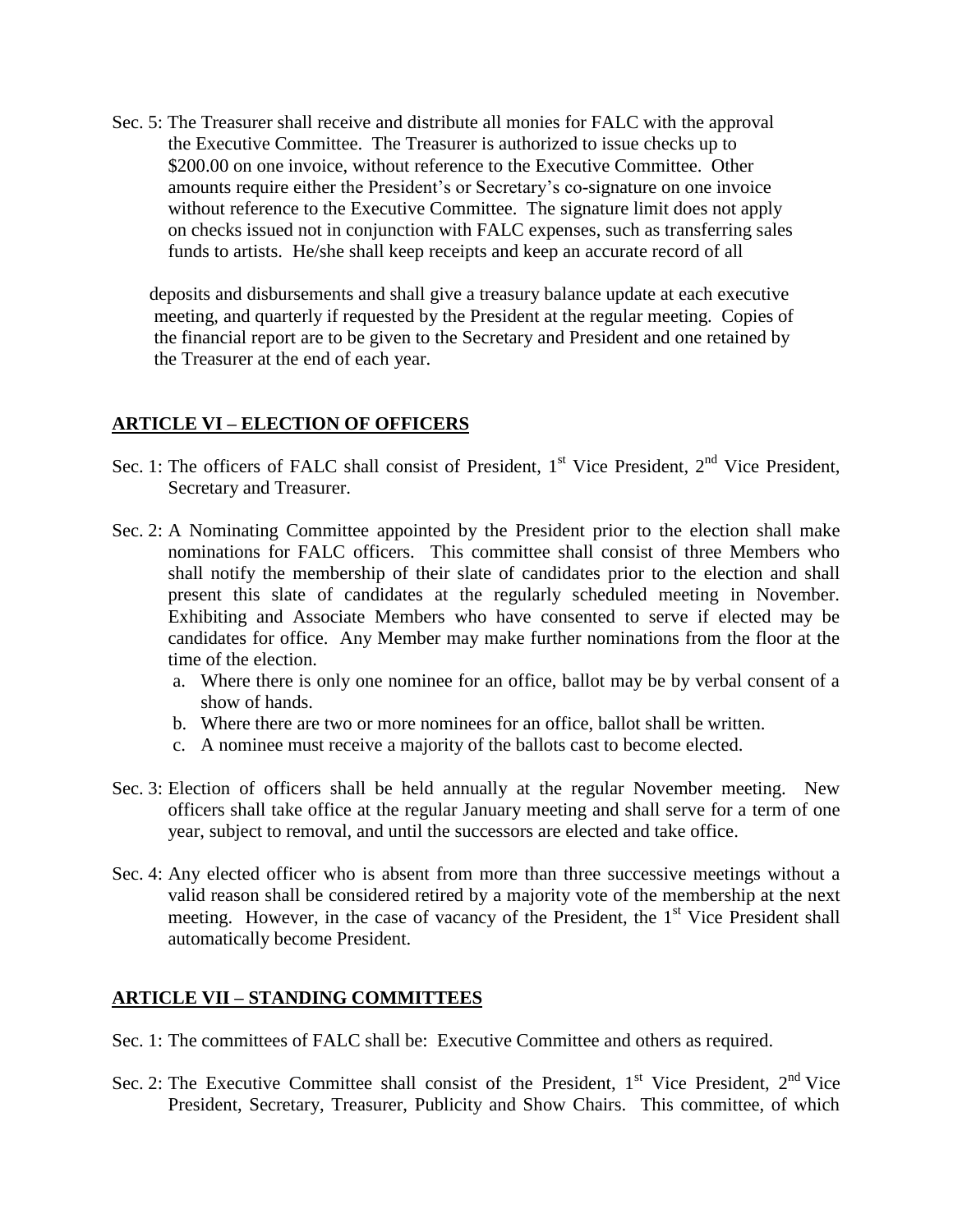Sec. 5: The Treasurer shall receive and distribute all monies for FALC with the approval the Executive Committee. The Treasurer is authorized to issue checks up to \$200.00 on one invoice, without reference to the Executive Committee. Other amounts require either the President's or Secretary's co-signature on one invoice without reference to the Executive Committee. The signature limit does not apply on checks issued not in conjunction with FALC expenses, such as transferring sales funds to artists. He/she shall keep receipts and keep an accurate record of all

 deposits and disbursements and shall give a treasury balance update at each executive meeting, and quarterly if requested by the President at the regular meeting. Copies of the financial report are to be given to the Secretary and President and one retained by the Treasurer at the end of each year.

### **ARTICLE VI – ELECTION OF OFFICERS**

- Sec. 1: The officers of FALC shall consist of President,  $1<sup>st</sup>$  Vice President,  $2<sup>nd</sup>$  Vice President, Secretary and Treasurer.
- Sec. 2: A Nominating Committee appointed by the President prior to the election shall make nominations for FALC officers. This committee shall consist of three Members who shall notify the membership of their slate of candidates prior to the election and shall present this slate of candidates at the regularly scheduled meeting in November. Exhibiting and Associate Members who have consented to serve if elected may be candidates for office. Any Member may make further nominations from the floor at the time of the election.
	- a. Where there is only one nominee for an office, ballot may be by verbal consent of a show of hands.
	- b. Where there are two or more nominees for an office, ballot shall be written.
	- c. A nominee must receive a majority of the ballots cast to become elected.
- Sec. 3: Election of officers shall be held annually at the regular November meeting. New officers shall take office at the regular January meeting and shall serve for a term of one year, subject to removal, and until the successors are elected and take office.
- Sec. 4: Any elected officer who is absent from more than three successive meetings without a valid reason shall be considered retired by a majority vote of the membership at the next meeting. However, in the case of vacancy of the President, the  $1<sup>st</sup>$  Vice President shall automatically become President.

#### **ARTICLE VII – STANDING COMMITTEES**

- Sec. 1: The committees of FALC shall be: Executive Committee and others as required.
- Sec. 2: The Executive Committee shall consist of the President,  $1<sup>st</sup>$  Vice President,  $2<sup>nd</sup>$  Vice President, Secretary, Treasurer, Publicity and Show Chairs. This committee, of which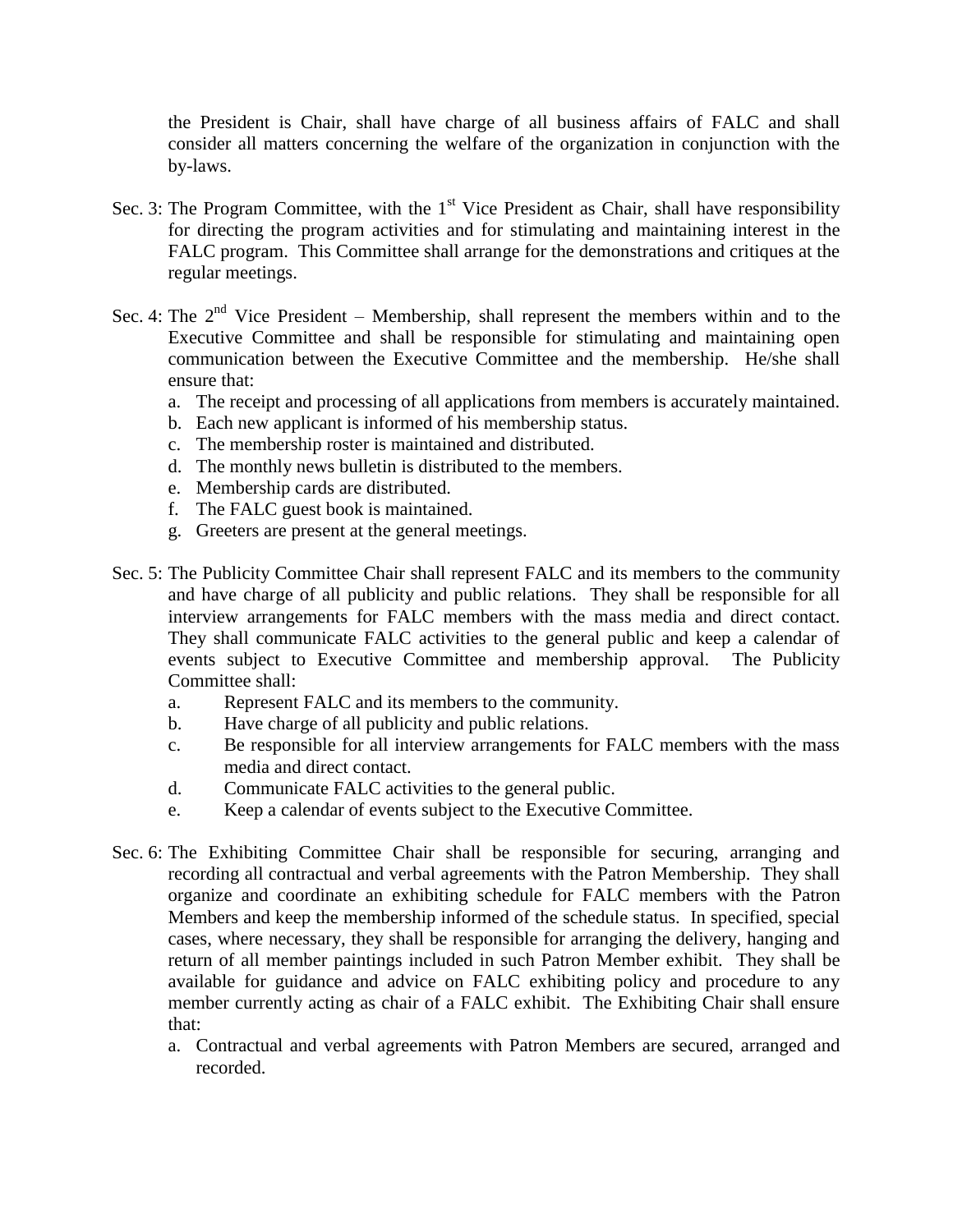the President is Chair, shall have charge of all business affairs of FALC and shall consider all matters concerning the welfare of the organization in conjunction with the by-laws.

- Sec. 3: The Program Committee, with the  $1<sup>st</sup>$  Vice President as Chair, shall have responsibility for directing the program activities and for stimulating and maintaining interest in the FALC program. This Committee shall arrange for the demonstrations and critiques at the regular meetings.
- Sec. 4: The  $2^{nd}$  Vice President Membership, shall represent the members within and to the Executive Committee and shall be responsible for stimulating and maintaining open communication between the Executive Committee and the membership. He/she shall ensure that:
	- a. The receipt and processing of all applications from members is accurately maintained.
	- b. Each new applicant is informed of his membership status.
	- c. The membership roster is maintained and distributed.
	- d. The monthly news bulletin is distributed to the members.
	- e. Membership cards are distributed.
	- f. The FALC guest book is maintained.
	- g. Greeters are present at the general meetings.
- Sec. 5: The Publicity Committee Chair shall represent FALC and its members to the community and have charge of all publicity and public relations. They shall be responsible for all interview arrangements for FALC members with the mass media and direct contact. They shall communicate FALC activities to the general public and keep a calendar of events subject to Executive Committee and membership approval. The Publicity Committee shall:
	- a. Represent FALC and its members to the community.
	- b. Have charge of all publicity and public relations.
	- c. Be responsible for all interview arrangements for FALC members with the mass media and direct contact.
	- d. Communicate FALC activities to the general public.
	- e. Keep a calendar of events subject to the Executive Committee.
- Sec. 6: The Exhibiting Committee Chair shall be responsible for securing, arranging and recording all contractual and verbal agreements with the Patron Membership. They shall organize and coordinate an exhibiting schedule for FALC members with the Patron Members and keep the membership informed of the schedule status. In specified, special cases, where necessary, they shall be responsible for arranging the delivery, hanging and return of all member paintings included in such Patron Member exhibit. They shall be available for guidance and advice on FALC exhibiting policy and procedure to any member currently acting as chair of a FALC exhibit. The Exhibiting Chair shall ensure that:
	- a. Contractual and verbal agreements with Patron Members are secured, arranged and recorded.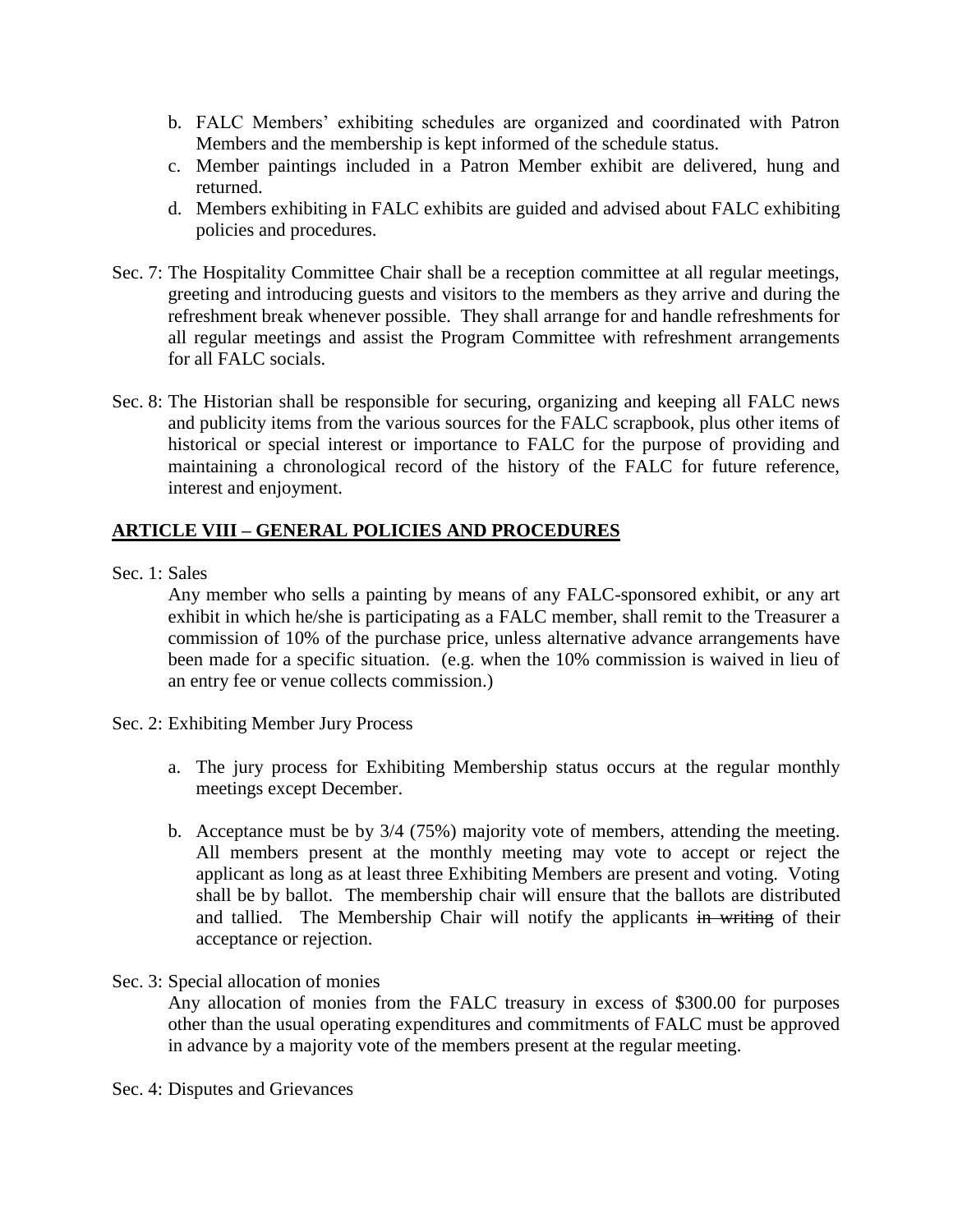- b. FALC Members' exhibiting schedules are organized and coordinated with Patron Members and the membership is kept informed of the schedule status.
- c. Member paintings included in a Patron Member exhibit are delivered, hung and returned.
- d. Members exhibiting in FALC exhibits are guided and advised about FALC exhibiting policies and procedures.
- Sec. 7: The Hospitality Committee Chair shall be a reception committee at all regular meetings, greeting and introducing guests and visitors to the members as they arrive and during the refreshment break whenever possible. They shall arrange for and handle refreshments for all regular meetings and assist the Program Committee with refreshment arrangements for all FALC socials.
- Sec. 8: The Historian shall be responsible for securing, organizing and keeping all FALC news and publicity items from the various sources for the FALC scrapbook, plus other items of historical or special interest or importance to FALC for the purpose of providing and maintaining a chronological record of the history of the FALC for future reference, interest and enjoyment.

# **ARTICLE VIII – GENERAL POLICIES AND PROCEDURES**

Sec. 1: Sales

Any member who sells a painting by means of any FALC-sponsored exhibit, or any art exhibit in which he/she is participating as a FALC member, shall remit to the Treasurer a commission of 10% of the purchase price, unless alternative advance arrangements have been made for a specific situation. (e.g. when the 10% commission is waived in lieu of an entry fee or venue collects commission.)

- Sec. 2: Exhibiting Member Jury Process
	- a. The jury process for Exhibiting Membership status occurs at the regular monthly meetings except December.
	- b. Acceptance must be by 3/4 (75%) majority vote of members, attending the meeting. All members present at the monthly meeting may vote to accept or reject the applicant as long as at least three Exhibiting Members are present and voting. Voting shall be by ballot. The membership chair will ensure that the ballots are distributed and tallied. The Membership Chair will notify the applicants in writing of their acceptance or rejection.
- Sec. 3: Special allocation of monies

Any allocation of monies from the FALC treasury in excess of \$300.00 for purposes other than the usual operating expenditures and commitments of FALC must be approved in advance by a majority vote of the members present at the regular meeting.

Sec. 4: Disputes and Grievances